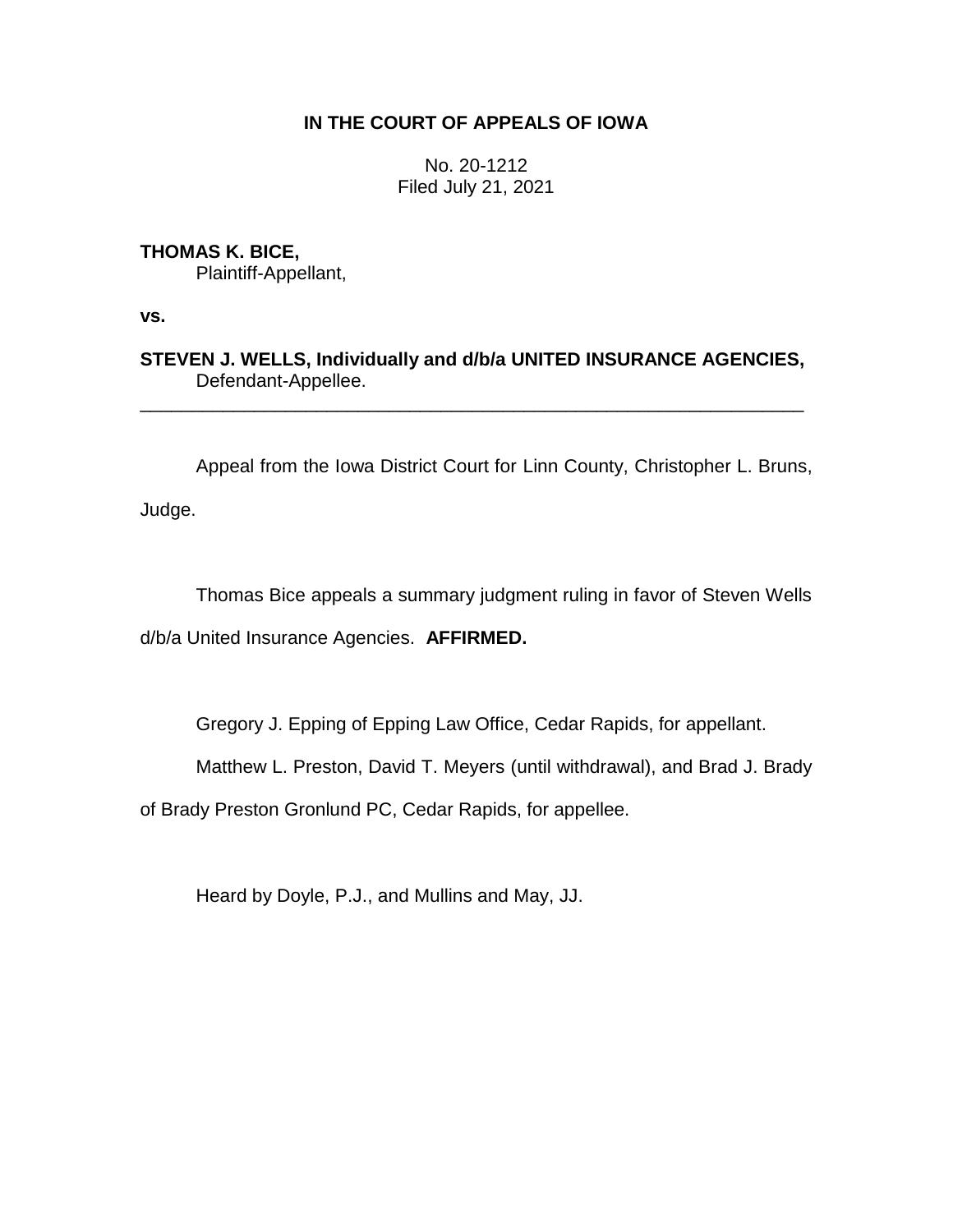## **IN THE COURT OF APPEALS OF IOWA**

No. 20-1212 Filed July 21, 2021

**THOMAS K. BICE,**

Plaintiff-Appellant,

**vs.**

**STEVEN J. WELLS, Individually and d/b/a UNITED INSURANCE AGENCIES,** Defendant-Appellee.

\_\_\_\_\_\_\_\_\_\_\_\_\_\_\_\_\_\_\_\_\_\_\_\_\_\_\_\_\_\_\_\_\_\_\_\_\_\_\_\_\_\_\_\_\_\_\_\_\_\_\_\_\_\_\_\_\_\_\_\_\_\_\_\_

Appeal from the Iowa District Court for Linn County, Christopher L. Bruns,

Judge.

Thomas Bice appeals a summary judgment ruling in favor of Steven Wells d/b/a United Insurance Agencies. **AFFIRMED.**

Gregory J. Epping of Epping Law Office, Cedar Rapids, for appellant.

Matthew L. Preston, David T. Meyers (until withdrawal), and Brad J. Brady

of Brady Preston Gronlund PC, Cedar Rapids, for appellee.

Heard by Doyle, P.J., and Mullins and May, JJ.